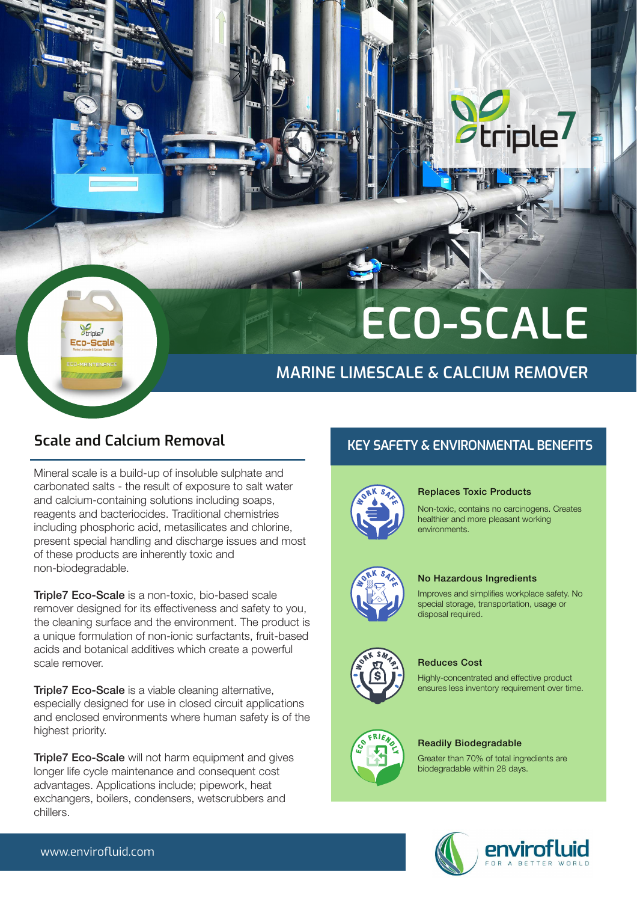# **ECO-SCALE**

**Seriple** 

## **MARINE LIMESCALE & CALCIUM REMOVER**

 $\frac{1}{2}$ criple<sup>7</sup>

Ern-Srale

**Scale and Calcium Removal KEY SAFETY & ENVIRONMENTAL BENEFITS** 

### Replaces Toxic Products

Non-toxic, contains no carcinogens. Creates healthier and more pleasant working environments.



## No Hazardous Ingredients

Improves and simplifies workplace safety. No special storage, transportation, usage or disposal required.



### Reduces Cost

Highly-concentrated and effective product ensures less inventory requirement over time.



#### Readily Biodegradable

Greater than 70% of total ingredients are biodegradable within 28 days.



**Triple7 Eco-Scale** is a non-toxic, bio-based scale remover designed for its effectiveness and safety to you, the cleaning surface and the environment. The product is a unique formulation of non-ionic surfactants, fruit-based acids and botanical additives which create a powerful scale remover.

**Triple7 Eco-Scale** is a viable cleaning alternative, especially designed for use in closed circuit applications and enclosed environments where human safety is of the highest priority.

Mineral scale is a build-up of insoluble sulphate and carbonated salts - the result of exposure to salt water and calcium-containing solutions including soaps, reagents and bacteriocides. Traditional chemistries including phosphoric acid, metasilicates and chlorine, present special handling and discharge issues and most of these products are inherently toxic and non-biodegradable.

**Triple7 Eco-Scale** will not harm equipment and gives longer life cycle maintenance and consequent cost advantages. Applications include; pipework, heat exchangers, boilers, condensers, wetscrubbers and chillers.